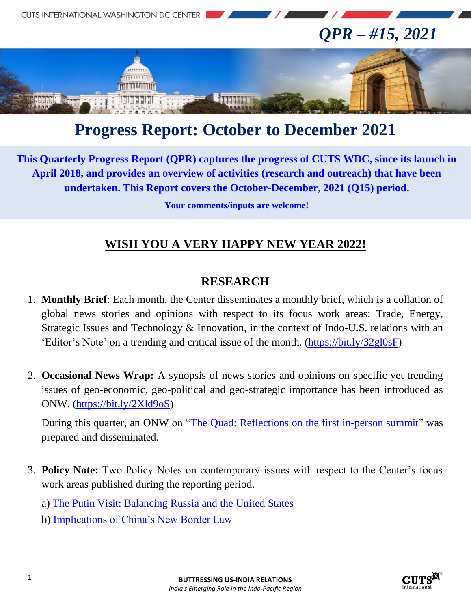

# **Progress Report: October to December 2021**

**This Quarterly Progress Report (QPR) captures the progress of CUTS WDC, since its launch in April 2018, and provides an overview of activities (research and outreach) that have been undertaken. This Report covers the October-December, 2021 (Q15) period.**

**Your comments/inputs are welcome!**

#### **WISH YOU A VERY HAPPY NEW YEAR 2022!**

#### **RESEARCH**

- 1. **Monthly Brief**: Each month, the Center disseminates a monthly brief, which is a collation of global news stories and opinions with respect to its focus work areas: Trade, Energy, Strategic Issues and Technology & Innovation, in the context of Indo-U.S. relations with an 'Editor's Note' on a trending and critical issue of the month. [\(https://bit.ly/32gl0sF\)](https://bit.ly/32gl0sF)
- 2. **Occasional News Wrap:** A synopsis of news stories and opinions on specific yet trending issues of geo-economic, geo-political and geo-strategic importance has been introduced as ONW. [\(https://bit.ly/2Xld9oS\)](https://bit.ly/2Xld9oS)

During this quarter, an ONW on ["The Quad: Reflections on the first in-person summit"](http://cuts-wdc.org/pdf/quad-summit-reflections-on-the-first-in-person-summit.pdf) was prepared and disseminated.

- 3. **Policy Note:** Two Policy Notes on contemporary issues with respect to the Center's focus work areas published during the reporting period.
	- a) [The Putin Visit: Balancing Russia and the United States](http://cuts-wdc.org/pdf/Policy_Note-19-balancing-russia-and-the-us.pdf)
	- b) [Implications of China's New Border Law](http://cuts-wdc.org/pdf/Policy_Note-20-implications-of-chinas-new-border-law.pdf)